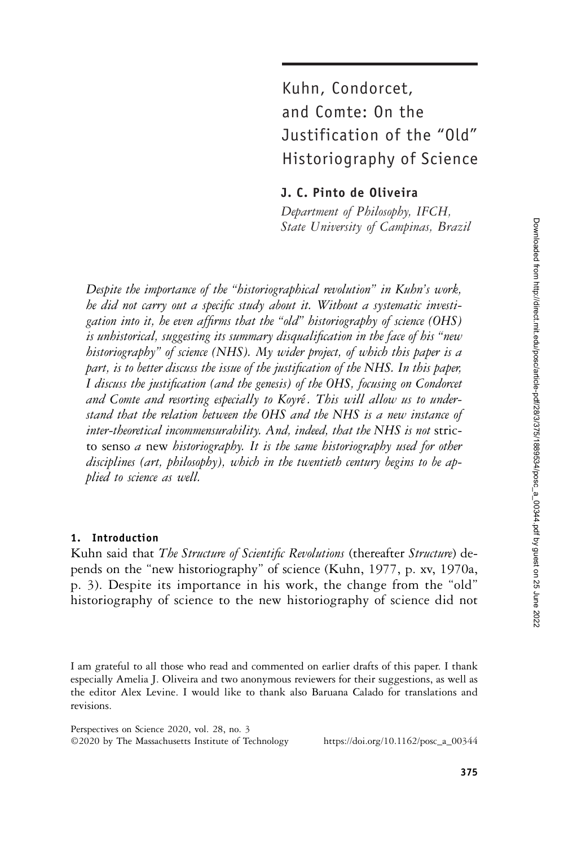# Kuhn, Condorcet, and Comte: On the Justification of the "Old" Historiography of Science

J. C. Pinto de Oliveira

Department of Philosophy, IFCH, State University of Campinas, Brazil

Despite the importance of the "historiographical revolution" in Kuhn's work, he did not carry out a specific study about it. Without a systematic investigation into it, he even affirms that the "old" historiography of science (OHS) is unhistorical, suggesting its summary disqualification in the face of his "new historiography" of science (NHS). My wider project, of which this paper is a part, is to better discuss the issue of the justification of the NHS. In this paper, I discuss the justification (and the genesis) of the OHS, focusing on Condorcet and Comte and resorting especially to Koyré. This will allow us to understand that the relation between the OHS and the NHS is a new instance of inter-theoretical incommensurability. And, indeed, that the NHS is not stricto senso a new historiography. It is the same historiography used for other disciplines (art, philosophy), which in the twentieth century begins to be applied to science as well.

## 1. Introduction

Kuhn said that The Structure of Scientific Revolutions (thereafter Structure) depends on the "new historiography" of science (Kuhn, 1977, p. xv, 1970a, p. 3). Despite its importance in his work, the change from the "old" historiography of science to the new historiography of science did not

I am grateful to all those who read and commented on earlier drafts of this paper. I thank especially Amelia J. Oliveira and two anonymous reviewers for their suggestions, as well as the editor Alex Levine. I would like to thank also Baruana Calado for translations and revisions.

Perspectives on Science 2020, vol. 28, no. 3 ©2020 by The Massachusetts Institute of Technology https://doi.org/10.1162/posc\_a\_00344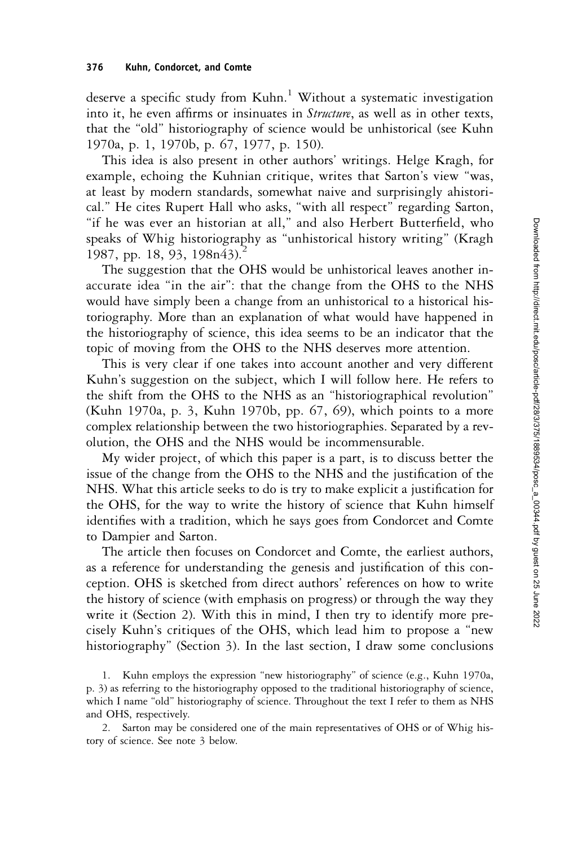deserve a specific study from Kuhn.<sup>1</sup> Without a systematic investigation into it, he even affirms or insinuates in *Structure*, as well as in other texts, that the "old" historiography of science would be unhistorical (see Kuhn 1970a, p. 1, 1970b, p. 67, 1977, p. 150).

This idea is also present in other authors' writings. Helge Kragh, for example, echoing the Kuhnian critique, writes that Sarton's view "was, at least by modern standards, somewhat naive and surprisingly ahistorical." He cites Rupert Hall who asks, "with all respect" regarding Sarton, "if he was ever an historian at all," and also Herbert Butterfield, who speaks of Whig historiography as "unhistorical history writing" (Kragh 1987, pp. 18, 93, 198n43).<sup>2</sup>

The suggestion that the OHS would be unhistorical leaves another inaccurate idea "in the air": that the change from the OHS to the NHS would have simply been a change from an unhistorical to a historical historiography. More than an explanation of what would have happened in the historiography of science, this idea seems to be an indicator that the topic of moving from the OHS to the NHS deserves more attention.

This is very clear if one takes into account another and very different Kuhn's suggestion on the subject, which I will follow here. He refers to the shift from the OHS to the NHS as an "historiographical revolution" (Kuhn 1970a, p. 3, Kuhn 1970b, pp. 67, 69), which points to a more complex relationship between the two historiographies. Separated by a revolution, the OHS and the NHS would be incommensurable.

My wider project, of which this paper is a part, is to discuss better the issue of the change from the OHS to the NHS and the justification of the NHS. What this article seeks to do is try to make explicit a justification for the OHS, for the way to write the history of science that Kuhn himself identifies with a tradition, which he says goes from Condorcet and Comte to Dampier and Sarton.

The article then focuses on Condorcet and Comte, the earliest authors, as a reference for understanding the genesis and justification of this conception. OHS is sketched from direct authors' references on how to write the history of science (with emphasis on progress) or through the way they write it (Section 2). With this in mind, I then try to identify more precisely Kuhn's critiques of the OHS, which lead him to propose a "new historiography" (Section 3). In the last section, I draw some conclusions

1. Kuhn employs the expression "new historiography" of science (e.g., Kuhn 1970a, p. 3) as referring to the historiography opposed to the traditional historiography of science, which I name "old" historiography of science. Throughout the text I refer to them as NHS and OHS, respectively.

2. Sarton may be considered one of the main representatives of OHS or of Whig history of science. See note 3 below.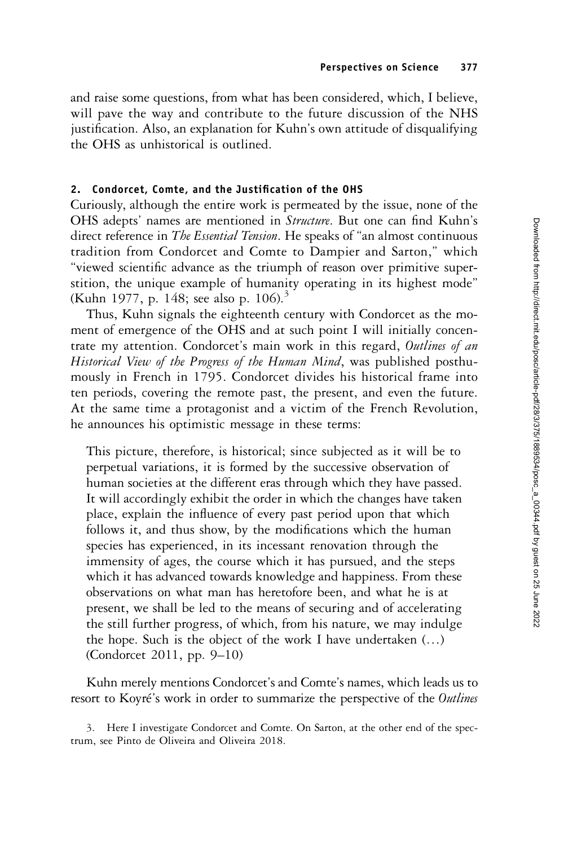and raise some questions, from what has been considered, which, I believe, will pave the way and contribute to the future discussion of the NHS justification. Also, an explanation for Kuhn's own attitude of disqualifying the OHS as unhistorical is outlined.

# 2. Condorcet, Comte, and the Justification of the OHS

Curiously, although the entire work is permeated by the issue, none of the OHS adepts' names are mentioned in Structure. But one can find Kuhn's direct reference in *The Essential Tension*. He speaks of "an almost continuous tradition from Condorcet and Comte to Dampier and Sarton," which "viewed scientific advance as the triumph of reason over primitive superstition, the unique example of humanity operating in its highest mode" (Kuhn 1977, p. 148; see also p. 106).<sup>3</sup>

Thus, Kuhn signals the eighteenth century with Condorcet as the moment of emergence of the OHS and at such point I will initially concentrate my attention. Condorcet's main work in this regard, Outlines of an Historical View of the Progress of the Human Mind, was published posthumously in French in 1795. Condorcet divides his historical frame into ten periods, covering the remote past, the present, and even the future. At the same time a protagonist and a victim of the French Revolution, he announces his optimistic message in these terms:

This picture, therefore, is historical; since subjected as it will be to perpetual variations, it is formed by the successive observation of human societies at the different eras through which they have passed. It will accordingly exhibit the order in which the changes have taken place, explain the influence of every past period upon that which follows it, and thus show, by the modifications which the human species has experienced, in its incessant renovation through the immensity of ages, the course which it has pursued, and the steps which it has advanced towards knowledge and happiness. From these observations on what man has heretofore been, and what he is at present, we shall be led to the means of securing and of accelerating the still further progress, of which, from his nature, we may indulge the hope. Such is the object of the work I have undertaken (…) (Condorcet 2011, pp. 9–10)

Kuhn merely mentions Condorcet's and Comte's names, which leads us to resort to Koyré's work in order to summarize the perspective of the Outlines

3. Here I investigate Condorcet and Comte. On Sarton, at the other end of the spectrum, see Pinto de Oliveira and Oliveira 2018.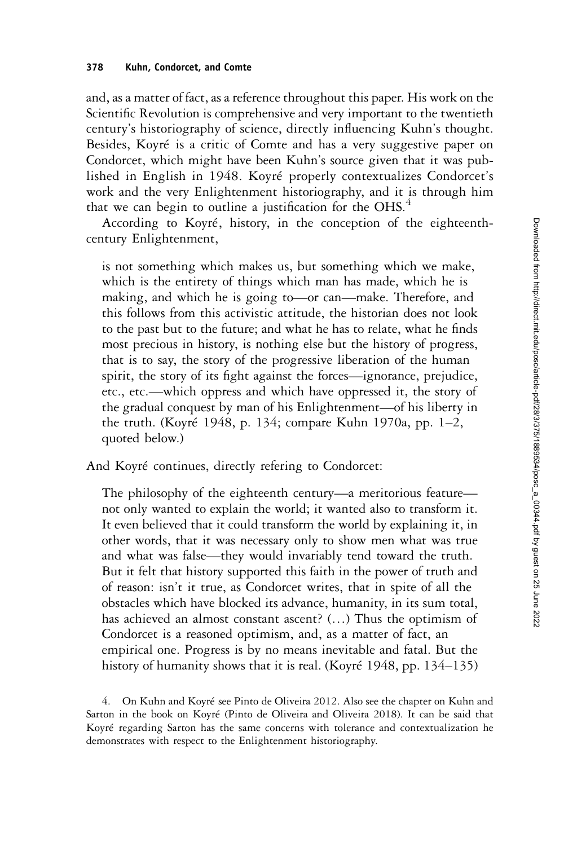and, as a matter of fact, as a reference throughout this paper. His work on the Scientific Revolution is comprehensive and very important to the twentieth century's historiography of science, directly influencing Kuhn's thought. Besides, Koyré is a critic of Comte and has a very suggestive paper on Condorcet, which might have been Kuhn's source given that it was published in English in 1948. Koyré properly contextualizes Condorcet's work and the very Enlightenment historiography, and it is through him that we can begin to outline a justification for the  $OHS$ .<sup>4</sup>

According to Koyré, history, in the conception of the eighteenthcentury Enlightenment,

is not something which makes us, but something which we make, which is the entirety of things which man has made, which he is making, and which he is going to—or can—make. Therefore, and this follows from this activistic attitude, the historian does not look to the past but to the future; and what he has to relate, what he finds most precious in history, is nothing else but the history of progress, that is to say, the story of the progressive liberation of the human spirit, the story of its fight against the forces—ignorance, prejudice, etc., etc.—which oppress and which have oppressed it, the story of the gradual conquest by man of his Enlightenment—of his liberty in the truth. (Koyré 1948, p. 134; compare Kuhn 1970a, pp. 1–2, quoted below.)

And Koyré continues, directly refering to Condorcet:

The philosophy of the eighteenth century—a meritorious feature not only wanted to explain the world; it wanted also to transform it. It even believed that it could transform the world by explaining it, in other words, that it was necessary only to show men what was true and what was false—they would invariably tend toward the truth. But it felt that history supported this faith in the power of truth and of reason: isn't it true, as Condorcet writes, that in spite of all the obstacles which have blocked its advance, humanity, in its sum total, has achieved an almost constant ascent? (…) Thus the optimism of Condorcet is a reasoned optimism, and, as a matter of fact, an empirical one. Progress is by no means inevitable and fatal. But the history of humanity shows that it is real. (Koyré 1948, pp. 134–135)

4. On Kuhn and Koyré see Pinto de Oliveira 2012. Also see the chapter on Kuhn and Sarton in the book on Koyré (Pinto de Oliveira and Oliveira 2018). It can be said that Koyré regarding Sarton has the same concerns with tolerance and contextualization he demonstrates with respect to the Enlightenment historiography.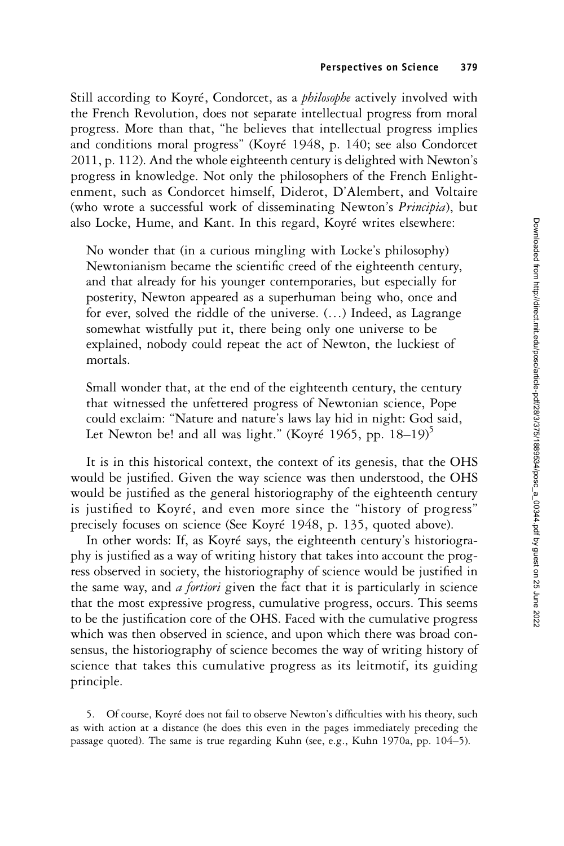Still according to Koyré, Condorcet, as a *philosophe* actively involved with the French Revolution, does not separate intellectual progress from moral progress. More than that, "he believes that intellectual progress implies and conditions moral progress" (Koyré 1948, p. 140; see also Condorcet 2011, p. 112). And the whole eighteenth century is delighted with Newton's progress in knowledge. Not only the philosophers of the French Enlightenment, such as Condorcet himself, Diderot, D'Alembert, and Voltaire (who wrote a successful work of disseminating Newton's Principia), but also Locke, Hume, and Kant. In this regard, Koyré writes elsewhere:

No wonder that (in a curious mingling with Locke's philosophy) Newtonianism became the scientific creed of the eighteenth century, and that already for his younger contemporaries, but especially for posterity, Newton appeared as a superhuman being who, once and for ever, solved the riddle of the universe. (…) Indeed, as Lagrange somewhat wistfully put it, there being only one universe to be explained, nobody could repeat the act of Newton, the luckiest of mortals.

Small wonder that, at the end of the eighteenth century, the century that witnessed the unfettered progress of Newtonian science, Pope could exclaim: "Nature and nature's laws lay hid in night: God said, Let Newton be! and all was light." (Koyré 1965, pp.  $18-19$ )<sup>5</sup>

It is in this historical context, the context of its genesis, that the OHS would be justified. Given the way science was then understood, the OHS would be justified as the general historiography of the eighteenth century is justified to Koyré, and even more since the "history of progress" precisely focuses on science (See Koyré 1948, p. 135, quoted above).

In other words: If, as Koyré says, the eighteenth century's historiography is justified as a way of writing history that takes into account the progress observed in society, the historiography of science would be justified in the same way, and *a fortiori* given the fact that it is particularly in science that the most expressive progress, cumulative progress, occurs. This seems to be the justification core of the OHS. Faced with the cumulative progress which was then observed in science, and upon which there was broad consensus, the historiography of science becomes the way of writing history of science that takes this cumulative progress as its leitmotif, its guiding principle.

5. Of course, Koyré does not fail to observe Newton's difficulties with his theory, such as with action at a distance (he does this even in the pages immediately preceding the passage quoted). The same is true regarding Kuhn (see, e.g., Kuhn 1970a, pp. 104–5).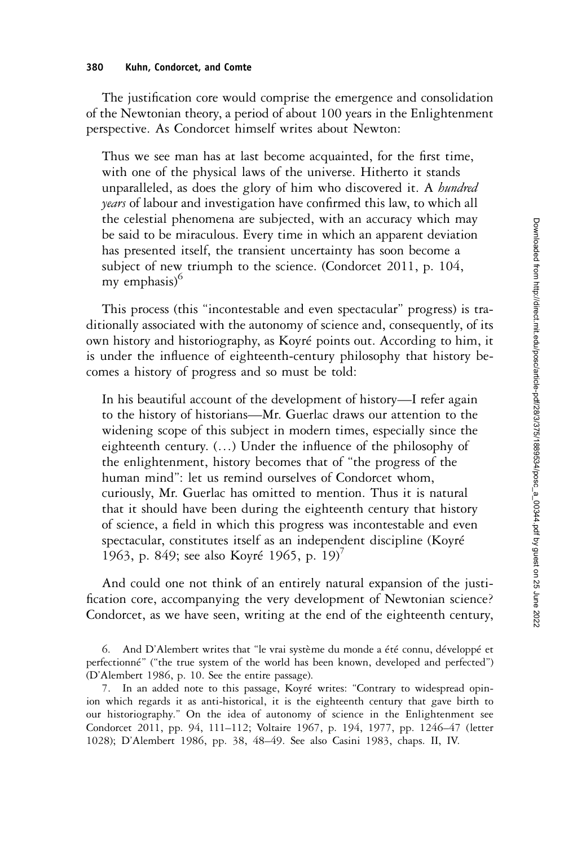#### 380 Kuhn, Condorcet, and Comte

The justification core would comprise the emergence and consolidation of the Newtonian theory, a period of about 100 years in the Enlightenment perspective. As Condorcet himself writes about Newton:

Thus we see man has at last become acquainted, for the first time, with one of the physical laws of the universe. Hitherto it stands unparalleled, as does the glory of him who discovered it. A hundred *years* of labour and investigation have confirmed this law, to which all the celestial phenomena are subjected, with an accuracy which may be said to be miraculous. Every time in which an apparent deviation has presented itself, the transient uncertainty has soon become a subject of new triumph to the science. (Condorcet 2011, p. 104, my emphasis $6$ 

This process (this "incontestable and even spectacular" progress) is traditionally associated with the autonomy of science and, consequently, of its own history and historiography, as Koyré points out. According to him, it is under the influence of eighteenth-century philosophy that history becomes a history of progress and so must be told:

In his beautiful account of the development of history—I refer again to the history of historians—Mr. Guerlac draws our attention to the widening scope of this subject in modern times, especially since the eighteenth century. (…) Under the influence of the philosophy of the enlightenment, history becomes that of "the progress of the human mind": let us remind ourselves of Condorcet whom, curiously, Mr. Guerlac has omitted to mention. Thus it is natural that it should have been during the eighteenth century that history of science, a field in which this progress was incontestable and even spectacular, constitutes itself as an independent discipline (Koyré 1963, p. 849; see also Koyré 1965, p. 19)<sup>7</sup>

And could one not think of an entirely natural expansion of the justification core, accompanying the very development of Newtonian science? Condorcet, as we have seen, writing at the end of the eighteenth century,

6. And D'Alembert writes that "le vrai système du monde a été connu, développé et perfectionné" ("the true system of the world has been known, developed and perfected") (D'Alembert 1986, p. 10. See the entire passage).

7. In an added note to this passage, Koyré writes: "Contrary to widespread opinion which regards it as anti-historical, it is the eighteenth century that gave birth to our historiography." On the idea of autonomy of science in the Enlightenment see Condorcet 2011, pp. 94, 111–112; Voltaire 1967, p. 194, 1977, pp. 1246–47 (letter 1028); D'Alembert 1986, pp. 38, 48–49. See also Casini 1983, chaps. II, IV.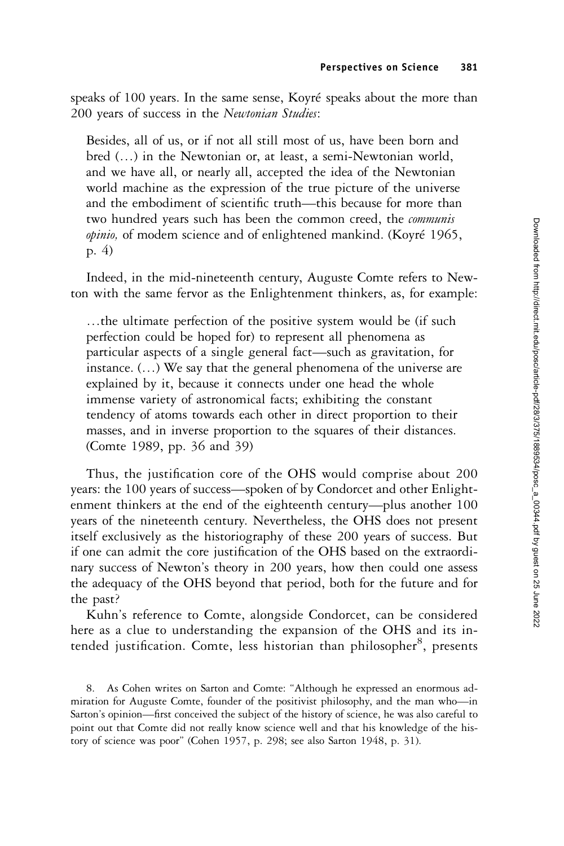speaks of 100 years. In the same sense, Koyré speaks about the more than 200 years of success in the Newtonian Studies:

Besides, all of us, or if not all still most of us, have been born and bred (…) in the Newtonian or, at least, a semi-Newtonian world, and we have all, or nearly all, accepted the idea of the Newtonian world machine as the expression of the true picture of the universe and the embodiment of scientific truth—this because for more than two hundred years such has been the common creed, the *communis* opinio, of modem science and of enlightened mankind. (Koyré 1965, p. 4)

Indeed, in the mid-nineteenth century, Auguste Comte refers to Newton with the same fervor as the Enlightenment thinkers, as, for example:

…the ultimate perfection of the positive system would be (if such perfection could be hoped for) to represent all phenomena as particular aspects of a single general fact—such as gravitation, for instance. (…) We say that the general phenomena of the universe are explained by it, because it connects under one head the whole immense variety of astronomical facts; exhibiting the constant tendency of atoms towards each other in direct proportion to their masses, and in inverse proportion to the squares of their distances. (Comte 1989, pp. 36 and 39)

Thus, the justification core of the OHS would comprise about 200 years: the 100 years of success—spoken of by Condorcet and other Enlightenment thinkers at the end of the eighteenth century—plus another 100 years of the nineteenth century. Nevertheless, the OHS does not present itself exclusively as the historiography of these 200 years of success. But if one can admit the core justification of the OHS based on the extraordinary success of Newton's theory in 200 years, how then could one assess the adequacy of the OHS beyond that period, both for the future and for the past?

Kuhn's reference to Comte, alongside Condorcet, can be considered here as a clue to understanding the expansion of the OHS and its intended justification. Comte, less historian than philosopher<sup>8</sup>, presents

<sup>8.</sup> As Cohen writes on Sarton and Comte: "Although he expressed an enormous admiration for Auguste Comte, founder of the positivist philosophy, and the man who—in Sarton's opinion—first conceived the subject of the history of science, he was also careful to point out that Comte did not really know science well and that his knowledge of the history of science was poor" (Cohen 1957, p. 298; see also Sarton 1948, p. 31).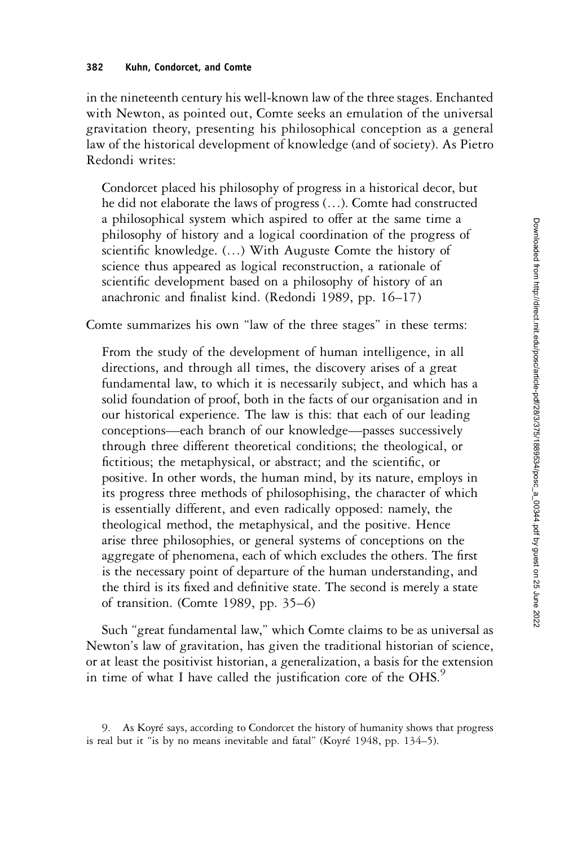Downloaded from http://direct.mit.edu/posc/article-pdf/28/3/375/1889634/posc\_a\_00344.pdf by guest on 25 June 2022 Downloaded from http://direct.mit.edu/posc/article-pdf/28/3/375/1889534/posc\_a\_00344.pdf by guest on 25 June 2022

in the nineteenth century his well-known law of the three stages. Enchanted with Newton, as pointed out, Comte seeks an emulation of the universal gravitation theory, presenting his philosophical conception as a general law of the historical development of knowledge (and of society). As Pietro Redondi writes:

Condorcet placed his philosophy of progress in a historical decor, but he did not elaborate the laws of progress (…). Comte had constructed a philosophical system which aspired to offer at the same time a philosophy of history and a logical coordination of the progress of scientific knowledge. (…) With Auguste Comte the history of science thus appeared as logical reconstruction, a rationale of scientific development based on a philosophy of history of an anachronic and finalist kind. (Redondi 1989, pp. 16–17)

Comte summarizes his own "law of the three stages" in these terms:

From the study of the development of human intelligence, in all directions, and through all times, the discovery arises of a great fundamental law, to which it is necessarily subject, and which has a solid foundation of proof, both in the facts of our organisation and in our historical experience. The law is this: that each of our leading conceptions—each branch of our knowledge—passes successively through three different theoretical conditions; the theological, or fictitious; the metaphysical, or abstract; and the scientific, or positive. In other words, the human mind, by its nature, employs in its progress three methods of philosophising, the character of which is essentially different, and even radically opposed: namely, the theological method, the metaphysical, and the positive. Hence arise three philosophies, or general systems of conceptions on the aggregate of phenomena, each of which excludes the others. The first is the necessary point of departure of the human understanding, and the third is its fixed and definitive state. The second is merely a state of transition. (Comte 1989, pp. 35–6)

Such "great fundamental law," which Comte claims to be as universal as Newton's law of gravitation, has given the traditional historian of science, or at least the positivist historian, a generalization, a basis for the extension in time of what I have called the justification core of the OHS.<sup>9</sup>

<sup>9.</sup> As Koyré says, according to Condorcet the history of humanity shows that progress is real but it "is by no means inevitable and fatal" (Koyré 1948, pp. 134–5).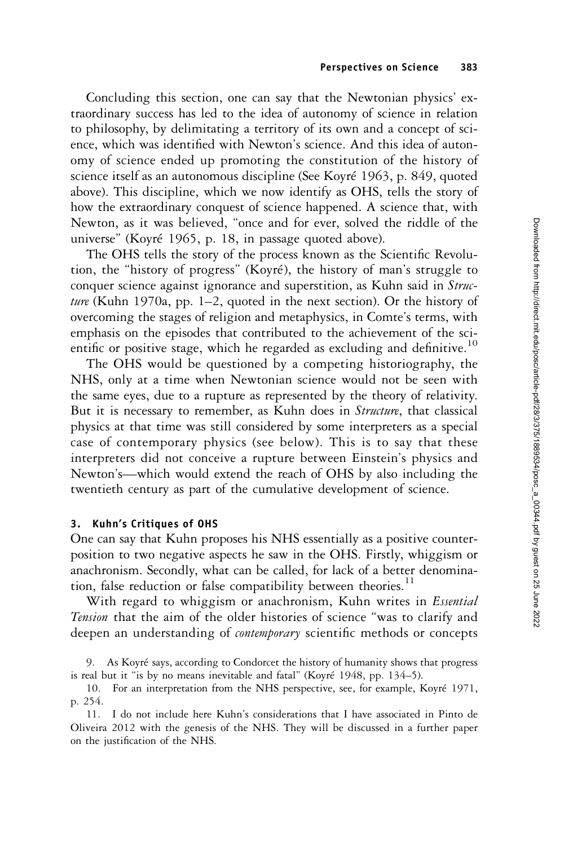Concluding this section, one can say that the Newtonian physics' extraordinary success has led to the idea of autonomy of science in relation to philosophy, by delimitating a territory of its own and a concept of science, which was identified with Newton's science. And this idea of autonomy of science ended up promoting the constitution of the history of science itself as an autonomous discipline (See Koyré 1963, p. 849, quoted above). This discipline, which we now identify as OHS, tells the story of how the extraordinary conquest of science happened. A science that, with Newton, as it was believed, "once and for ever, solved the riddle of the universe" (Koyré 1965, p. 18, in passage quoted above).

The OHS tells the story of the process known as the Scientific Revolution, the "history of progress" (Koyré), the history of man's struggle to conquer science against ignorance and superstition, as Kuhn said in Struc*ture* (Kuhn 1970a, pp. 1–2, quoted in the next section). Or the history of overcoming the stages of religion and metaphysics, in Comte's terms, with emphasis on the episodes that contributed to the achievement of the scientific or positive stage, which he regarded as excluding and definitive.<sup>10</sup>

The OHS would be questioned by a competing historiography, the NHS, only at a time when Newtonian science would not be seen with the same eyes, due to a rupture as represented by the theory of relativity. But it is necessary to remember, as Kuhn does in Structure, that classical physics at that time was still considered by some interpreters as a special case of contemporary physics (see below). This is to say that these interpreters did not conceive a rupture between Einstein's physics and Newton's—which would extend the reach of OHS by also including the twentieth century as part of the cumulative development of science.

### 3. Kuhn's Critiques of OHS

One can say that Kuhn proposes his NHS essentially as a positive counterposition to two negative aspects he saw in the OHS. Firstly, whiggism or anachronism. Secondly, what can be called, for lack of a better denomination, false reduction or false compatibility between theories.<sup>11</sup>

With regard to whiggism or anachronism, Kuhn writes in *Essential* Tension that the aim of the older histories of science "was to clarify and deepen an understanding of *contemporary* scientific methods or concepts

<sup>9.</sup> As Koyré says, according to Condorcet the history of humanity shows that progress is real but it "is by no means inevitable and fatal" (Koyré 1948, pp. 134–5).

<sup>10.</sup> For an interpretation from the NHS perspective, see, for example, Koyré 1971, p. 254.

<sup>11.</sup> I do not include here Kuhn's considerations that I have associated in Pinto de Oliveira 2012 with the genesis of the NHS. They will be discussed in a further paper on the justification of the NHS.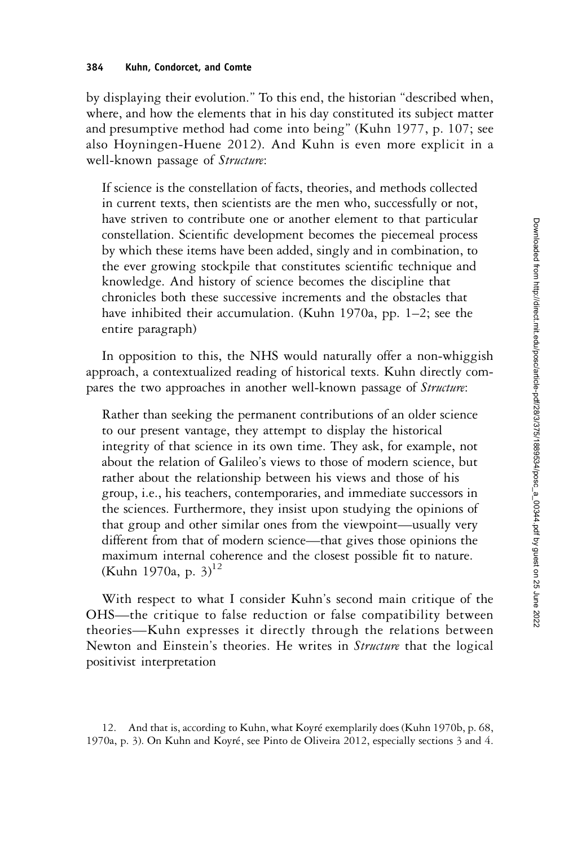by displaying their evolution." To this end, the historian "described when, where, and how the elements that in his day constituted its subject matter and presumptive method had come into being" (Kuhn 1977, p. 107; see also Hoyningen-Huene 2012). And Kuhn is even more explicit in a well-known passage of *Structure*:

If science is the constellation of facts, theories, and methods collected in current texts, then scientists are the men who, successfully or not, have striven to contribute one or another element to that particular constellation. Scientific development becomes the piecemeal process by which these items have been added, singly and in combination, to the ever growing stockpile that constitutes scientific technique and knowledge. And history of science becomes the discipline that chronicles both these successive increments and the obstacles that have inhibited their accumulation. (Kuhn 1970a, pp. 1–2; see the entire paragraph)

In opposition to this, the NHS would naturally offer a non-whiggish approach, a contextualized reading of historical texts. Kuhn directly compares the two approaches in another well-known passage of Structure:

Rather than seeking the permanent contributions of an older science to our present vantage, they attempt to display the historical integrity of that science in its own time. They ask, for example, not about the relation of Galileo's views to those of modern science, but rather about the relationship between his views and those of his group, i.e., his teachers, contemporaries, and immediate successors in the sciences. Furthermore, they insist upon studying the opinions of that group and other similar ones from the viewpoint—usually very different from that of modern science—that gives those opinions the maximum internal coherence and the closest possible fit to nature. (Kuhn 1970a, p. 3) $^{12}$ 

With respect to what I consider Kuhn's second main critique of the OHS—the critique to false reduction or false compatibility between theories—Kuhn expresses it directly through the relations between Newton and Einstein's theories. He writes in *Structure* that the logical positivist interpretation

12. And that is, according to Kuhn, what Koyré exemplarily does (Kuhn 1970b, p. 68, 1970a, p. 3). On Kuhn and Koyré, see Pinto de Oliveira 2012, especially sections 3 and 4.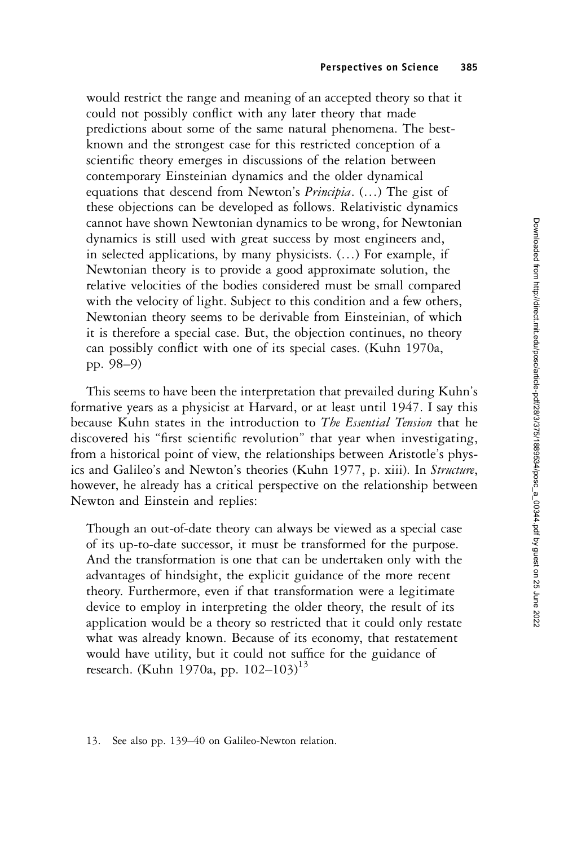would restrict the range and meaning of an accepted theory so that it could not possibly conflict with any later theory that made predictions about some of the same natural phenomena. The bestknown and the strongest case for this restricted conception of a scientific theory emerges in discussions of the relation between contemporary Einsteinian dynamics and the older dynamical equations that descend from Newton's Principia. (…) The gist of these objections can be developed as follows. Relativistic dynamics cannot have shown Newtonian dynamics to be wrong, for Newtonian dynamics is still used with great success by most engineers and, in selected applications, by many physicists. (…) For example, if Newtonian theory is to provide a good approximate solution, the relative velocities of the bodies considered must be small compared with the velocity of light. Subject to this condition and a few others, Newtonian theory seems to be derivable from Einsteinian, of which it is therefore a special case. But, the objection continues, no theory can possibly conflict with one of its special cases. (Kuhn 1970a, pp. 98–9)

This seems to have been the interpretation that prevailed during Kuhn's formative years as a physicist at Harvard, or at least until 1947. I say this because Kuhn states in the introduction to The Essential Tension that he discovered his "first scientific revolution" that year when investigating, from a historical point of view, the relationships between Aristotle's physics and Galileo's and Newton's theories (Kuhn 1977, p. xiii). In Structure, however, he already has a critical perspective on the relationship between Newton and Einstein and replies:

Though an out-of-date theory can always be viewed as a special case of its up-to-date successor, it must be transformed for the purpose. And the transformation is one that can be undertaken only with the advantages of hindsight, the explicit guidance of the more recent theory. Furthermore, even if that transformation were a legitimate device to employ in interpreting the older theory, the result of its application would be a theory so restricted that it could only restate what was already known. Because of its economy, that restatement would have utility, but it could not suffice for the guidance of research. (Kuhn 1970a, pp. 102–103)<sup>13</sup>

<sup>13.</sup> See also pp. 139–40 on Galileo-Newton relation.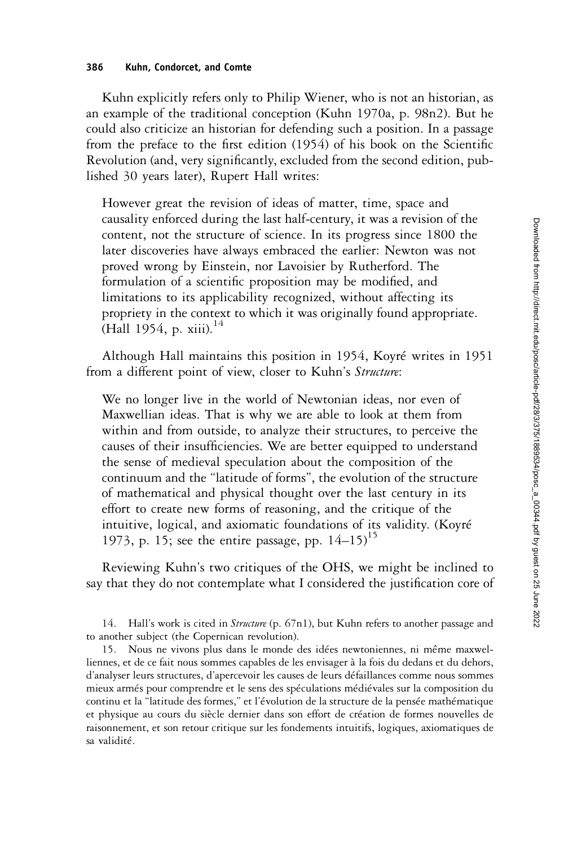Kuhn explicitly refers only to Philip Wiener, who is not an historian, as an example of the traditional conception (Kuhn 1970a, p. 98n2). But he could also criticize an historian for defending such a position. In a passage from the preface to the first edition (1954) of his book on the Scientific Revolution (and, very significantly, excluded from the second edition, published 30 years later), Rupert Hall writes:

However great the revision of ideas of matter, time, space and causality enforced during the last half-century, it was a revision of the content, not the structure of science. In its progress since 1800 the later discoveries have always embraced the earlier: Newton was not proved wrong by Einstein, nor Lavoisier by Rutherford. The formulation of a scientific proposition may be modified, and limitations to its applicability recognized, without affecting its propriety in the context to which it was originally found appropriate. (Hall 1954, p. xiii).<sup>14</sup>

Although Hall maintains this position in 1954, Koyré writes in 1951 from a different point of view, closer to Kuhn's Structure:

We no longer live in the world of Newtonian ideas, nor even of Maxwellian ideas. That is why we are able to look at them from within and from outside, to analyze their structures, to perceive the causes of their insufficiencies. We are better equipped to understand the sense of medieval speculation about the composition of the continuum and the "latitude of forms", the evolution of the structure of mathematical and physical thought over the last century in its effort to create new forms of reasoning, and the critique of the intuitive, logical, and axiomatic foundations of its validity. (Koyré 1973, p. 15; see the entire passage, pp.  $14-15$ <sup>15</sup>

Reviewing Kuhn's two critiques of the OHS, we might be inclined to say that they do not contemplate what I considered the justification core of

14. Hall's work is cited in *Structure* (p. 67n1), but Kuhn refers to another passage and to another subject (the Copernican revolution).

15. Nous ne vivons plus dans le monde des idées newtoniennes, ni même maxwelliennes, et de ce fait nous sommes capables de les envisager à la fois du dedans et du dehors, d'analyser leurs structures, d'apercevoir les causes de leurs défaillances comme nous sommes mieux armés pour comprendre et le sens des spéculations médiévales sur la composition du continu et la "latitude des formes," et l'évolution de la structure de la pensée mathématique et physique au cours du siècle dernier dans son effort de création de formes nouvelles de raisonnement, et son retour critique sur les fondements intuitifs, logiques, axiomatiques de sa validité.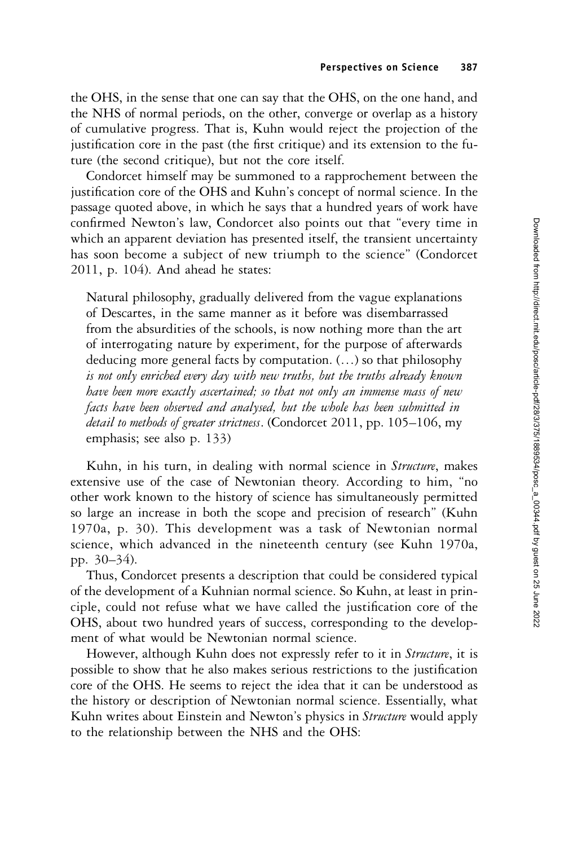the OHS, in the sense that one can say that the OHS, on the one hand, and the NHS of normal periods, on the other, converge or overlap as a history of cumulative progress. That is, Kuhn would reject the projection of the justification core in the past (the first critique) and its extension to the future (the second critique), but not the core itself.

Condorcet himself may be summoned to a rapprochement between the justification core of the OHS and Kuhn's concept of normal science. In the passage quoted above, in which he says that a hundred years of work have confirmed Newton's law, Condorcet also points out that "every time in which an apparent deviation has presented itself, the transient uncertainty has soon become a subject of new triumph to the science" (Condorcet 2011, p. 104). And ahead he states:

Natural philosophy, gradually delivered from the vague explanations of Descartes, in the same manner as it before was disembarrassed from the absurdities of the schools, is now nothing more than the art of interrogating nature by experiment, for the purpose of afterwards deducing more general facts by computation. (…) so that philosophy is not only enriched every day with new truths, but the truths already known have been more exactly ascertained; so that not only an immense mass of new facts have been observed and analysed, but the whole has been submitted in detail to methods of greater strictness. (Condorcet 2011, pp. 105–106, my emphasis; see also p. 133)

Kuhn, in his turn, in dealing with normal science in Structure, makes extensive use of the case of Newtonian theory. According to him, "no other work known to the history of science has simultaneously permitted so large an increase in both the scope and precision of research" (Kuhn 1970a, p. 30). This development was a task of Newtonian normal science, which advanced in the nineteenth century (see Kuhn 1970a, pp. 30–34).

Thus, Condorcet presents a description that could be considered typical of the development of a Kuhnian normal science. So Kuhn, at least in principle, could not refuse what we have called the justification core of the OHS, about two hundred years of success, corresponding to the development of what would be Newtonian normal science.

However, although Kuhn does not expressly refer to it in *Structure*, it is possible to show that he also makes serious restrictions to the justification core of the OHS. He seems to reject the idea that it can be understood as the history or description of Newtonian normal science. Essentially, what Kuhn writes about Einstein and Newton's physics in *Structure* would apply to the relationship between the NHS and the OHS: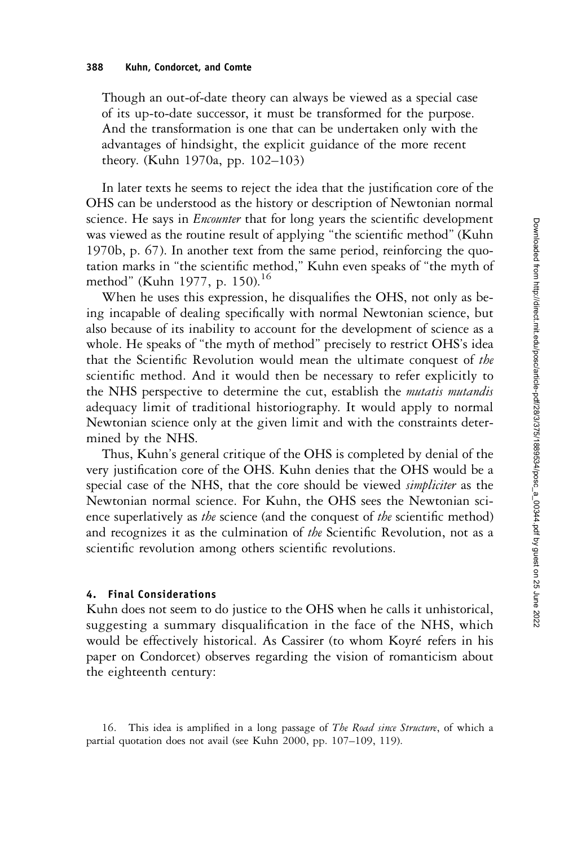Though an out-of-date theory can always be viewed as a special case of its up-to-date successor, it must be transformed for the purpose. And the transformation is one that can be undertaken only with the advantages of hindsight, the explicit guidance of the more recent theory. (Kuhn 1970a, pp. 102–103)

In later texts he seems to reject the idea that the justification core of the OHS can be understood as the history or description of Newtonian normal science. He says in *Encounter* that for long years the scientific development was viewed as the routine result of applying "the scientific method" (Kuhn 1970b, p. 67). In another text from the same period, reinforcing the quotation marks in "the scientific method," Kuhn even speaks of "the myth of method" (Kuhn 1977, p. 150).<sup>16</sup>

When he uses this expression, he disqualifies the OHS, not only as being incapable of dealing specifically with normal Newtonian science, but also because of its inability to account for the development of science as a whole. He speaks of "the myth of method" precisely to restrict OHS's idea that the Scientific Revolution would mean the ultimate conquest of the scientific method. And it would then be necessary to refer explicitly to the NHS perspective to determine the cut, establish the *mutatis mutandis* adequacy limit of traditional historiography. It would apply to normal Newtonian science only at the given limit and with the constraints determined by the NHS.

Thus, Kuhn's general critique of the OHS is completed by denial of the very justification core of the OHS. Kuhn denies that the OHS would be a special case of the NHS, that the core should be viewed *simpliciter* as the Newtonian normal science. For Kuhn, the OHS sees the Newtonian science superlatively as the science (and the conquest of the scientific method) and recognizes it as the culmination of the Scientific Revolution, not as a scientific revolution among others scientific revolutions.

#### 4. Final Considerations

Kuhn does not seem to do justice to the OHS when he calls it unhistorical, suggesting a summary disqualification in the face of the NHS, which would be effectively historical. As Cassirer (to whom Koyré refers in his paper on Condorcet) observes regarding the vision of romanticism about the eighteenth century:

16. This idea is amplified in a long passage of The Road since Structure, of which a partial quotation does not avail (see Kuhn 2000, pp. 107–109, 119).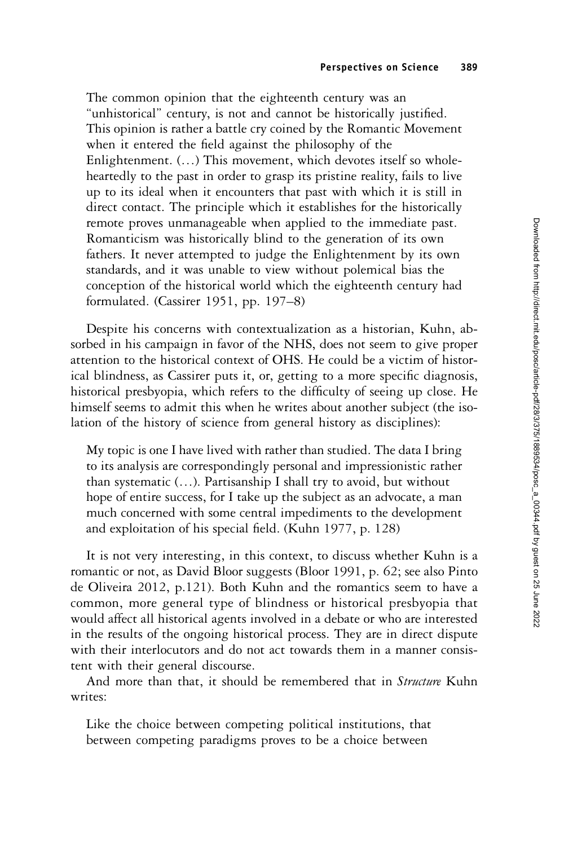The common opinion that the eighteenth century was an "unhistorical" century, is not and cannot be historically justified. This opinion is rather a battle cry coined by the Romantic Movement when it entered the field against the philosophy of the Enlightenment. (…) This movement, which devotes itself so wholeheartedly to the past in order to grasp its pristine reality, fails to live up to its ideal when it encounters that past with which it is still in direct contact. The principle which it establishes for the historically remote proves unmanageable when applied to the immediate past. Romanticism was historically blind to the generation of its own fathers. It never attempted to judge the Enlightenment by its own standards, and it was unable to view without polemical bias the conception of the historical world which the eighteenth century had formulated. (Cassirer 1951, pp. 197–8)

Despite his concerns with contextualization as a historian, Kuhn, absorbed in his campaign in favor of the NHS, does not seem to give proper attention to the historical context of OHS. He could be a victim of historical blindness, as Cassirer puts it, or, getting to a more specific diagnosis, historical presbyopia, which refers to the difficulty of seeing up close. He himself seems to admit this when he writes about another subject (the isolation of the history of science from general history as disciplines):

My topic is one I have lived with rather than studied. The data I bring to its analysis are correspondingly personal and impressionistic rather than systematic (…). Partisanship I shall try to avoid, but without hope of entire success, for I take up the subject as an advocate, a man much concerned with some central impediments to the development and exploitation of his special field. (Kuhn 1977, p. 128)

It is not very interesting, in this context, to discuss whether Kuhn is a romantic or not, as David Bloor suggests (Bloor 1991, p. 62; see also Pinto de Oliveira 2012, p.121). Both Kuhn and the romantics seem to have a common, more general type of blindness or historical presbyopia that would affect all historical agents involved in a debate or who are interested in the results of the ongoing historical process. They are in direct dispute with their interlocutors and do not act towards them in a manner consistent with their general discourse.

And more than that, it should be remembered that in Structure Kuhn writes:

Like the choice between competing political institutions, that between competing paradigms proves to be a choice between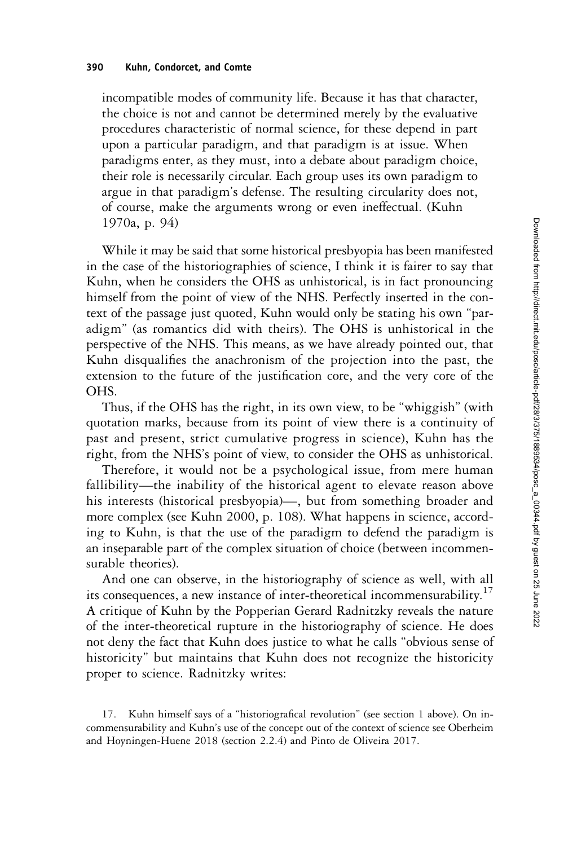incompatible modes of community life. Because it has that character, the choice is not and cannot be determined merely by the evaluative procedures characteristic of normal science, for these depend in part upon a particular paradigm, and that paradigm is at issue. When paradigms enter, as they must, into a debate about paradigm choice, their role is necessarily circular. Each group uses its own paradigm to argue in that paradigm's defense. The resulting circularity does not, of course, make the arguments wrong or even ineffectual. (Kuhn 1970a, p. 94)

While it may be said that some historical presbyopia has been manifested in the case of the historiographies of science, I think it is fairer to say that Kuhn, when he considers the OHS as unhistorical, is in fact pronouncing himself from the point of view of the NHS. Perfectly inserted in the context of the passage just quoted, Kuhn would only be stating his own "paradigm" (as romantics did with theirs). The OHS is unhistorical in the perspective of the NHS. This means, as we have already pointed out, that Kuhn disqualifies the anachronism of the projection into the past, the extension to the future of the justification core, and the very core of the OHS.

Thus, if the OHS has the right, in its own view, to be "whiggish" (with quotation marks, because from its point of view there is a continuity of past and present, strict cumulative progress in science), Kuhn has the right, from the NHS's point of view, to consider the OHS as unhistorical.

Therefore, it would not be a psychological issue, from mere human fallibility—the inability of the historical agent to elevate reason above his interests (historical presbyopia)—, but from something broader and more complex (see Kuhn 2000, p. 108). What happens in science, according to Kuhn, is that the use of the paradigm to defend the paradigm is an inseparable part of the complex situation of choice (between incommensurable theories).

And one can observe, in the historiography of science as well, with all its consequences, a new instance of inter-theoretical incommensurability.<sup>17</sup> A critique of Kuhn by the Popperian Gerard Radnitzky reveals the nature of the inter-theoretical rupture in the historiography of science. He does not deny the fact that Kuhn does justice to what he calls "obvious sense of historicity" but maintains that Kuhn does not recognize the historicity proper to science. Radnitzky writes:

<sup>17.</sup> Kuhn himself says of a "historiografical revolution" (see section 1 above). On incommensurability and Kuhn's use of the concept out of the context of science see Oberheim and Hoyningen-Huene 2018 (section 2.2.4) and Pinto de Oliveira 2017.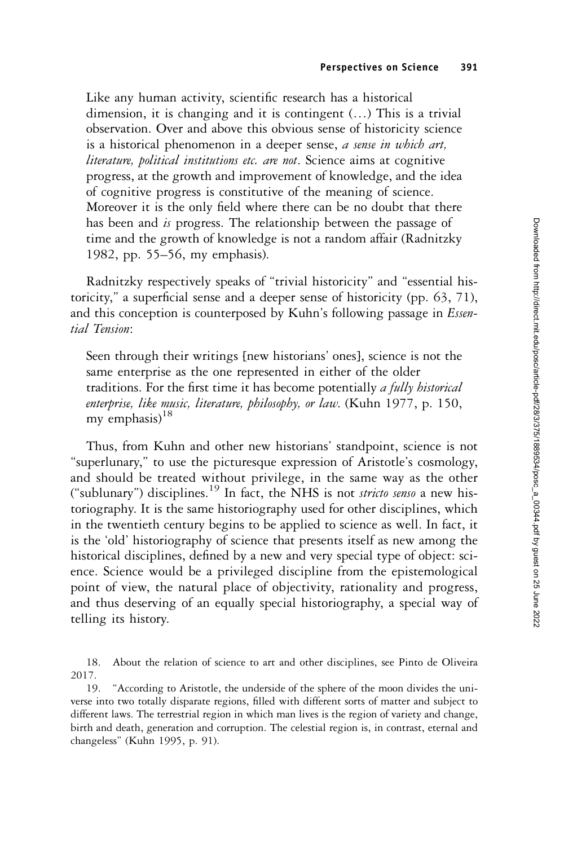Like any human activity, scientific research has a historical dimension, it is changing and it is contingent (…) This is a trivial observation. Over and above this obvious sense of historicity science is a historical phenomenon in a deeper sense, a sense in which art, literature, political institutions etc. are not. Science aims at cognitive progress, at the growth and improvement of knowledge, and the idea of cognitive progress is constitutive of the meaning of science. Moreover it is the only field where there can be no doubt that there has been and is progress. The relationship between the passage of time and the growth of knowledge is not a random affair (Radnitzky 1982, pp. 55–56, my emphasis).

Radnitzky respectively speaks of "trivial historicity" and "essential historicity," a superficial sense and a deeper sense of historicity (pp. 63, 71), and this conception is counterposed by Kuhn's following passage in *Essen*tial Tension:

Seen through their writings [new historians' ones], science is not the same enterprise as the one represented in either of the older traditions. For the first time it has become potentially a fully historical enterprise, like music, literature, philosophy, or law. (Kuhn 1977, p. 150, my emphasis) $18$ 

Thus, from Kuhn and other new historians' standpoint, science is not "superlunary," to use the picturesque expression of Aristotle's cosmology, and should be treated without privilege, in the same way as the other ("sublunary") disciplines.<sup>19</sup> In fact, the NHS is not *stricto senso* a new historiography. It is the same historiography used for other disciplines, which in the twentieth century begins to be applied to science as well. In fact, it is the 'old' historiography of science that presents itself as new among the historical disciplines, defined by a new and very special type of object: science. Science would be a privileged discipline from the epistemological point of view, the natural place of objectivity, rationality and progress, and thus deserving of an equally special historiography, a special way of telling its history.

<sup>18.</sup> About the relation of science to art and other disciplines, see Pinto de Oliveira 2017.

<sup>19.</sup> "According to Aristotle, the underside of the sphere of the moon divides the universe into two totally disparate regions, filled with different sorts of matter and subject to different laws. The terrestrial region in which man lives is the region of variety and change, birth and death, generation and corruption. The celestial region is, in contrast, eternal and changeless" (Kuhn 1995, p. 91).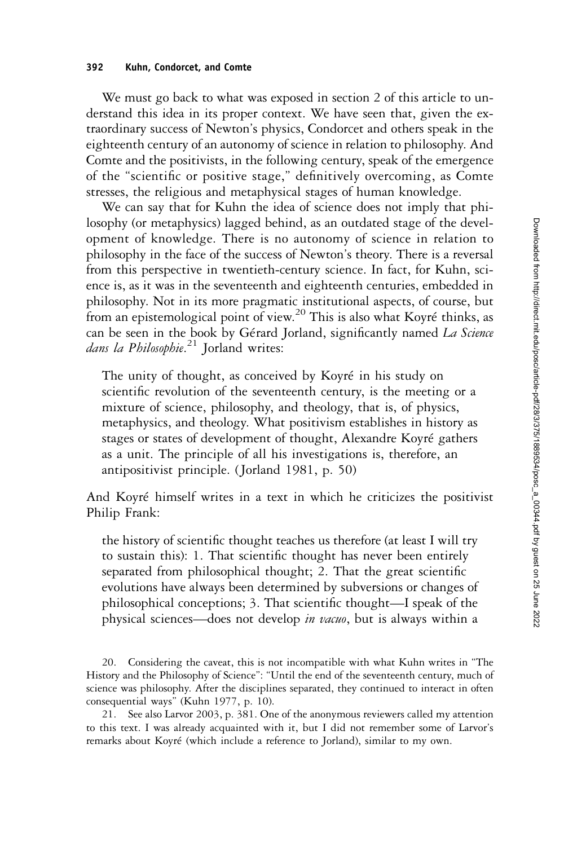#### 392 Kuhn, Condorcet, and Comte

We must go back to what was exposed in section 2 of this article to understand this idea in its proper context. We have seen that, given the extraordinary success of Newton's physics, Condorcet and others speak in the eighteenth century of an autonomy of science in relation to philosophy. And Comte and the positivists, in the following century, speak of the emergence of the "scientific or positive stage," definitively overcoming, as Comte stresses, the religious and metaphysical stages of human knowledge.

We can say that for Kuhn the idea of science does not imply that philosophy (or metaphysics) lagged behind, as an outdated stage of the development of knowledge. There is no autonomy of science in relation to philosophy in the face of the success of Newton's theory. There is a reversal from this perspective in twentieth-century science. In fact, for Kuhn, science is, as it was in the seventeenth and eighteenth centuries, embedded in philosophy. Not in its more pragmatic institutional aspects, of course, but from an epistemological point of view.20 This is also what Koyré thinks, as can be seen in the book by Gérard Jorland, significantly named La Science dans la Philosophie.<sup>21</sup> Jorland writes:

The unity of thought, as conceived by Koyré in his study on scientific revolution of the seventeenth century, is the meeting or a mixture of science, philosophy, and theology, that is, of physics, metaphysics, and theology. What positivism establishes in history as stages or states of development of thought, Alexandre Koyré gathers as a unit. The principle of all his investigations is, therefore, an antipositivist principle. (Jorland 1981, p. 50)

And Koyré himself writes in a text in which he criticizes the positivist Philip Frank:

the history of scientific thought teaches us therefore (at least I will try to sustain this): 1. That scientific thought has never been entirely separated from philosophical thought; 2. That the great scientific evolutions have always been determined by subversions or changes of philosophical conceptions; 3. That scientific thought—I speak of the physical sciences—does not develop in vacuo, but is always within a

20. Considering the caveat, this is not incompatible with what Kuhn writes in "The History and the Philosophy of Science": "Until the end of the seventeenth century, much of science was philosophy. After the disciplines separated, they continued to interact in often consequential ways" (Kuhn 1977, p. 10).

21. See also Larvor 2003, p. 381. One of the anonymous reviewers called my attention to this text. I was already acquainted with it, but I did not remember some of Larvor's remarks about Koyré (which include a reference to Jorland), similar to my own.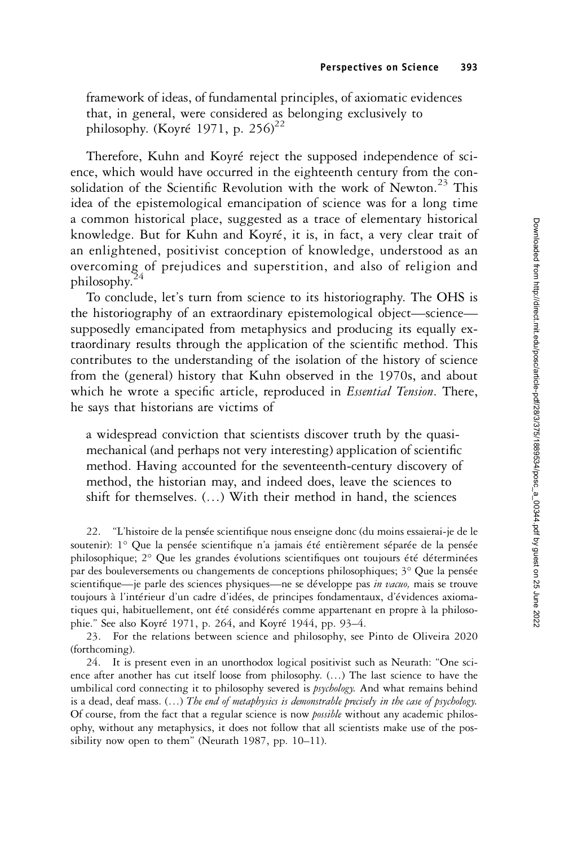framework of ideas, of fundamental principles, of axiomatic evidences that, in general, were considered as belonging exclusively to philosophy. (Koyré 1971, p. 256)<sup>22</sup>

Therefore, Kuhn and Koyré reject the supposed independence of science, which would have occurred in the eighteenth century from the consolidation of the Scientific Revolution with the work of Newton.<sup>23</sup> This idea of the epistemological emancipation of science was for a long time a common historical place, suggested as a trace of elementary historical knowledge. But for Kuhn and Koyré, it is, in fact, a very clear trait of an enlightened, positivist conception of knowledge, understood as an overcoming of prejudices and superstition, and also of religion and philosophy.

To conclude, let's turn from science to its historiography. The OHS is the historiography of an extraordinary epistemological object—science supposedly emancipated from metaphysics and producing its equally extraordinary results through the application of the scientific method. This contributes to the understanding of the isolation of the history of science from the (general) history that Kuhn observed in the 1970s, and about which he wrote a specific article, reproduced in *Essential Tension*. There, he says that historians are victims of

a widespread conviction that scientists discover truth by the quasimechanical (and perhaps not very interesting) application of scientific method. Having accounted for the seventeenth-century discovery of method, the historian may, and indeed does, leave the sciences to shift for themselves. (…) With their method in hand, the sciences

22. "L'histoire de la pensée scientifique nous enseigne donc (du moins essaierai-je de le soutenir): 1° Que la pensée scientifique n'a jamais été entièrement séparée de la pensée philosophique; 2° Que les grandes évolutions scientifiques ont toujours été déterminées par des bouleversements ou changements de conceptions philosophiques; 3° Que la pensée scientifique—je parle des sciences physiques—ne se développe pas in vacuo, mais se trouve toujours à l'intérieur d'un cadre d'idées, de principes fondamentaux, d'évidences axiomatiques qui, habituellement, ont été considérés comme appartenant en propre à la philosophie." See also Koyré 1971, p. 264, and Koyré 1944, pp. 93–4.

23. For the relations between science and philosophy, see Pinto de Oliveira 2020 (forthcoming).

24. It is present even in an unorthodox logical positivist such as Neurath: "One science after another has cut itself loose from philosophy. (…) The last science to have the umbilical cord connecting it to philosophy severed is *psychology*. And what remains behind is a dead, deaf mass.  $(...)$  The end of metaphysics is demonstrable precisely in the case of psychology. Of course, from the fact that a regular science is now *possible* without any academic philosophy, without any metaphysics, it does not follow that all scientists make use of the possibility now open to them" (Neurath 1987, pp. 10–11).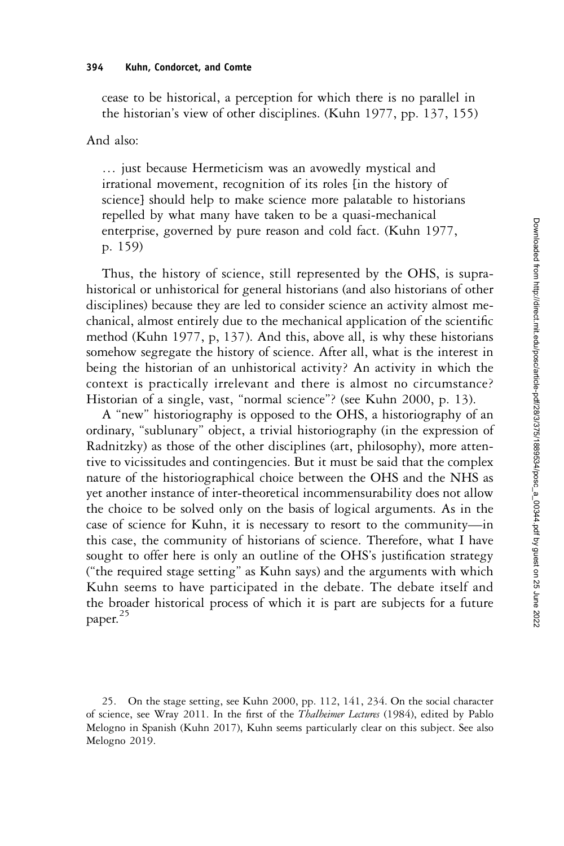cease to be historical, a perception for which there is no parallel in the historian's view of other disciplines. (Kuhn 1977, pp. 137, 155)

And also:

… just because Hermeticism was an avowedly mystical and irrational movement, recognition of its roles [in the history of science] should help to make science more palatable to historians repelled by what many have taken to be a quasi-mechanical enterprise, governed by pure reason and cold fact. (Kuhn 1977, p. 159)

Thus, the history of science, still represented by the OHS, is suprahistorical or unhistorical for general historians (and also historians of other disciplines) because they are led to consider science an activity almost mechanical, almost entirely due to the mechanical application of the scientific method (Kuhn 1977, p, 137). And this, above all, is why these historians somehow segregate the history of science. After all, what is the interest in being the historian of an unhistorical activity? An activity in which the context is practically irrelevant and there is almost no circumstance? Historian of a single, vast, "normal science"? (see Kuhn 2000, p. 13).

A "new" historiography is opposed to the OHS, a historiography of an ordinary, "sublunary" object, a trivial historiography (in the expression of Radnitzky) as those of the other disciplines (art, philosophy), more attentive to vicissitudes and contingencies. But it must be said that the complex nature of the historiographical choice between the OHS and the NHS as yet another instance of inter-theoretical incommensurability does not allow the choice to be solved only on the basis of logical arguments. As in the case of science for Kuhn, it is necessary to resort to the community—in this case, the community of historians of science. Therefore, what I have sought to offer here is only an outline of the OHS's justification strategy ("the required stage setting" as Kuhn says) and the arguments with which Kuhn seems to have participated in the debate. The debate itself and the broader historical process of which it is part are subjects for a future paper.<sup>25</sup>

25. On the stage setting, see Kuhn 2000, pp. 112, 141, 234. On the social character of science, see Wray 2011. In the first of the Thalheimer Lectures (1984), edited by Pablo Melogno in Spanish (Kuhn 2017), Kuhn seems particularly clear on this subject. See also Melogno 2019.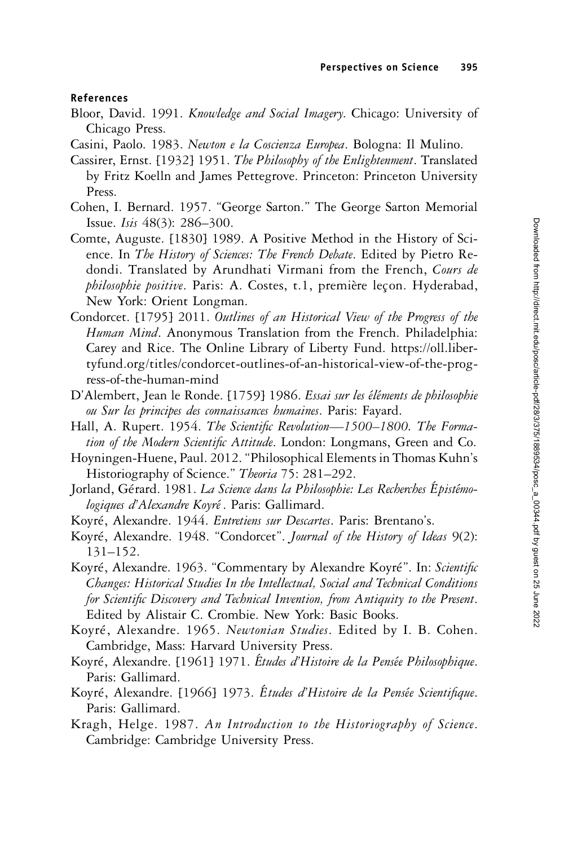### References

- Bloor, David. 1991. Knowledge and Social Imagery. Chicago: University of Chicago Press.
- Casini, Paolo. 1983. Newton e la Coscienza Europea. Bologna: Il Mulino.
- Cassirer, Ernst. [1932] 1951. The Philosophy of the Enlightenment. Translated by Fritz Koelln and James Pettegrove. Princeton: Princeton University Press.
- Cohen, I. Bernard. 1957. "George Sarton." The George Sarton Memorial Issue. Isis 48(3): 286–300.
- Comte, Auguste. [1830] 1989. A Positive Method in the History of Science. In The History of Sciences: The French Debate. Edited by Pietro Redondi. Translated by Arundhati Virmani from the French, Cours de philosophie positive. Paris: A. Costes, t.1, première leçon. Hyderabad, New York: Orient Longman.
- Condorcet. [1795] 2011. Outlines of an Historical View of the Progress of the Human Mind. Anonymous Translation from the French. Philadelphia: Carey and Rice. The Online Library of Liberty Fund. [https://oll.liber](https://oll.libertyfund.org/titles/condorcetutlinesfnistoricalwf-he-rogressf-heumanind)[tyfund.org/titles/condorcet-outlines-of-an-historical-view-of-the-prog](https://oll.libertyfund.org/titles/condorcetutlinesfnistoricalwf-he-rogressf-heumanind)[ress-of-the-human-mind](https://oll.libertyfund.org/titles/condorcetutlinesfnistoricalwf-he-rogressf-heumanind)
- D'Alembert, Jean le Ronde. [1759] 1986. Essai sur les éléments de philosophie ou Sur les principes des connaissances humaines. Paris: Fayard.
- Hall, A. Rupert. 1954. The Scientific Revolution-1500-1800. The Formation of the Modern Scientific Attitude. London: Longmans, Green and Co.
- Hoyningen-Huene, Paul. 2012."Philosophical Elements in Thomas Kuhn's Historiography of Science." Theoria 75: 281-292.
- Jorland, Gérard. 1981. La Science dans la Philosophie: Les Recherches Épistémologiques d'Alexandre Koyré. Paris: Gallimard.
- Koyré, Alexandre. 1944. Entretiens sur Descartes. Paris: Brentano's.
- Koyré, Alexandre. 1948. "Condorcet". Journal of the History of Ideas 9(2): 131–152.
- Koyré, Alexandre. 1963. "Commentary by Alexandre Koyré". In: Scientific Changes: Historical Studies In the Intellectual, Social and Technical Conditions for Scientific Discovery and Technical Invention, from Antiquity to the Present. Edited by Alistair C. Crombie. New York: Basic Books.
- Koyré, Alexandre. 1965. Newtonian Studies. Edited by I. B. Cohen. Cambridge, Mass: Harvard University Press.
- Koyré, Alexandre. [1961] 1971. Études d'Histoire de la Pensée Philosophique. Paris: Gallimard.
- Koyré, Alexandre. [1966] 1973. Études d'Histoire de la Pensée Scientifique. Paris: Gallimard.
- Kragh, Helge. 1987. An Introduction to the Historiography of Science. Cambridge: Cambridge University Press.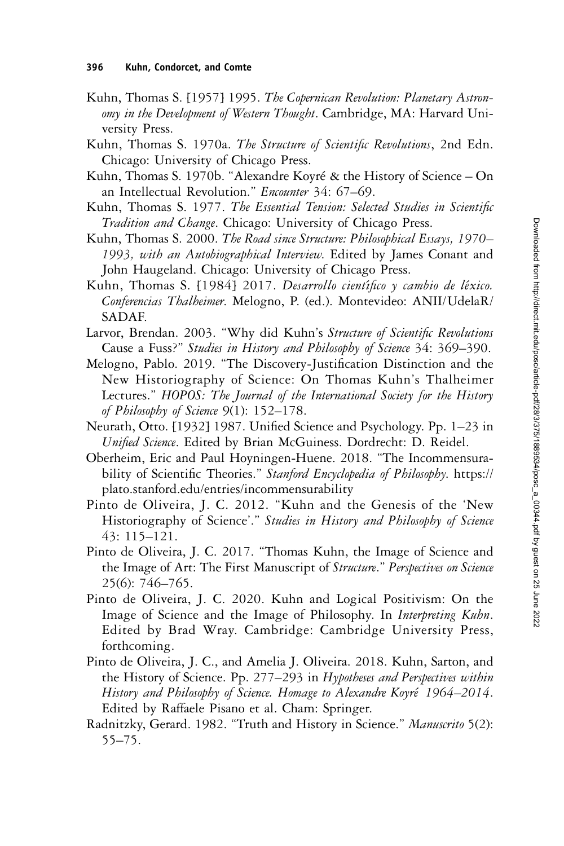- Kuhn, Thomas S. [1957] 1995. The Copernican Revolution: Planetary Astronomy in the Development of Western Thought. Cambridge, MA: Harvard University Press.
- Kuhn, Thomas S. 1970a. The Structure of Scientific Revolutions, 2nd Edn. Chicago: University of Chicago Press.
- Kuhn, Thomas S. 1970b. "Alexandre Koyré & the History of Science On an Intellectual Revolution." Encounter 34: 67-69.
- Kuhn, Thomas S. 1977. The Essential Tension: Selected Studies in Scientific Tradition and Change. Chicago: University of Chicago Press.
- Kuhn, Thomas S. 2000. The Road since Structure: Philosophical Essays, 1970– 1993, with an Autobiographical Interview. Edited by James Conant and John Haugeland. Chicago: University of Chicago Press.
- Kuhn, Thomas S. [1984] 2017. Desarrollo científico y cambio de léxico. Conferencias Thalheimer. Melogno, P. (ed.). Montevideo: ANII/UdelaR/ SADAF.
- Larvor, Brendan. 2003. "Why did Kuhn's Structure of Scientific Revolutions Cause a Fuss?" Studies in History and Philosophy of Science 34: 369–390.
- Melogno, Pablo. 2019. "The Discovery-Justification Distinction and the New Historiography of Science: On Thomas Kuhn's Thalheimer Lectures." HOPOS: The Journal of the International Society for the History of Philosophy of Science 9(1): 152–178.
- Neurath, Otto. [1932] 1987. Unified Science and Psychology. Pp. 1–23 in Unified Science. Edited by Brian McGuiness. Dordrecht: D. Reidel.
- Oberheim, Eric and Paul Hoyningen-Huene. 2018. "The Incommensurability of Scientific Theories." Stanford Encyclopedia of Philosophy. [https://](https://plato.stanford.edu/entries/incommensurability) [plato.stanford.edu/entries/incommensurability](https://plato.stanford.edu/entries/incommensurability)
- Pinto de Oliveira, J. C. 2012. "Kuhn and the Genesis of the 'New Historiography of Science'." Studies in History and Philosophy of Science 43: 115–121.
- Pinto de Oliveira, J. C. 2017. "Thomas Kuhn, the Image of Science and the Image of Art: The First Manuscript of Structure." Perspectives on Science 25(6): 746–765.
- Pinto de Oliveira, J. C. 2020. Kuhn and Logical Positivism: On the Image of Science and the Image of Philosophy. In Interpreting Kuhn. Edited by Brad Wray. Cambridge: Cambridge University Press, forthcoming.
- Pinto de Oliveira, J. C., and Amelia J. Oliveira. 2018. Kuhn, Sarton, and the History of Science. Pp. 277–293 in Hypotheses and Perspectives within History and Philosophy of Science. Homage to Alexandre Koyré 1964–2014. Edited by Raffaele Pisano et al. Cham: Springer.
- Radnitzky, Gerard. 1982. "Truth and History in Science." Manuscrito 5(2): 55–75.